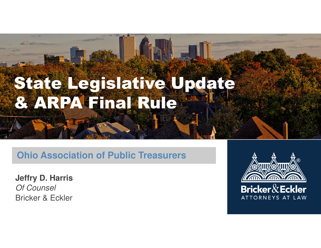# State Legislative Update & ARPA Final Rule

#### **Ohio Association of Public Treasurers**

**Jeffry D. Harris**  Of Counsel Bricker & Eckler

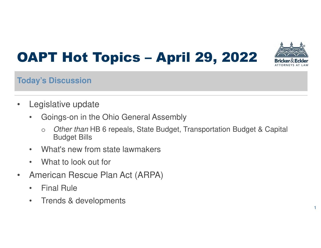## OAPT Hot Topics – April 29, 2022



#### **Today's Discussion**

- Legislative update
	- Goings-on in the Ohio General Assembly
		- o Other than HB 6 repeals, State Budget, Transportation Budget & Capital Budget Bills
	- What's new from state lawmakers
	- What to look out for
- American Rescue Plan Act (ARPA)
	- Final Rule
	- Trends & developments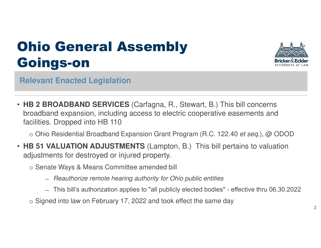

**Relevant Enacted Legislation**

• **HB 2 BROADBAND SERVICES** (Carfagna, R., Stewart, B.) This bill concerns broadband expansion, including access to electric cooperative easements and facilities. Dropped into HB 110

o Ohio Residential Broadband Expansion Grant Program (R.C. 122.40 et seq.), @ ODOD

- **HB 51 VALUATION ADJUSTMENTS** (Lampton, B.) This bill pertains to valuation adjustments for destroyed or injured property.
	- o Senate Ways & Means Committee amended bill
		- ̶ Reauthorize remote hearing authority for Ohio public entities
		- ̶ This bill's authorization applies to "all publicly elected bodies" effective thru 06.30.2022
	- o Signed into law on February 17, 2022 and took effect the same day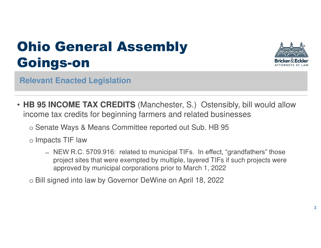

- **HB 95 INCOME TAX CREDITS** (Manchester, S.) Ostensibly, bill would allow income tax credits for beginning farmers and related businesses
	- o Senate Ways & Means Committee reported out Sub. HB 95
	- o Impacts TIF law
		- ̶ NEW R.C. 5709.916: related to municipal TIFs. In effect, "grandfathers" those project sites that were exempted by multiple, layered TIFs if such projects were approved by municipal corporations prior to March 1, 2022
	- o Bill signed into law by Governor DeWine on April 18, 2022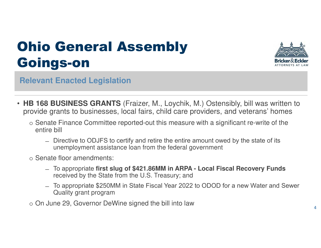

- **HB 168 BUSINESS GRANTS** (Fraizer, M., Loychik, M.) Ostensibly, bill was written to provide grants to businesses, local fairs, child care providers, and veterans' homes
	- o Senate Finance Committee reported-out this measure with a significant re-write of the entire bill
		- ̶ Directive to ODJFS to certify and retire the entire amount owed by the state of its unemployment assistance loan from the federal government
	- o Senate floor amendments:
		- ̶ To appropriate **first slug of \$421.86MM in ARPA Local Fiscal Recovery Funds** received by the State from the U.S. Treasury; and
		- ̶ To appropriate \$250MM in State Fiscal Year 2022 to ODOD for a new Water and Sewer Quality grant program
	- o On June 29, Governor DeWine signed the bill into law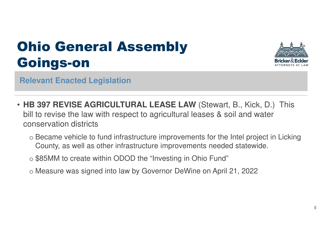

- **HB 397 REVISE AGRICULTURAL LEASE LAW** (Stewart, B., Kick, D.) This bill to revise the law with respect to agricultural leases & soil and water conservation districts
	- o Became vehicle to fund infrastructure improvements for the Intel project in Licking County, as well as other infrastructure improvements needed statewide.
	- o \$85MM to create within ODOD the "Investing in Ohio Fund"
	- o Measure was signed into law by Governor DeWine on April 21, 2022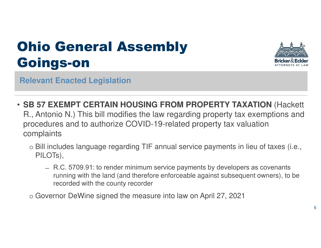

**Relevant Enacted Legislation**

- **SB 57 EXEMPT CERTAIN HOUSING FROM PROPERTY TAXATION** (Hackett R., Antonio N.) This bill modifies the law regarding property tax exemptions and procedures and to authorize COVID-19-related property tax valuation complaints
	- o Bill includes language regarding TIF annual service payments in lieu of taxes (i.e., PILOTs),
		- ̶ R.C. 5709.91: to render minimum service payments by developers as covenants running with the land (and therefore enforceable against subsequent owners), to be recorded with the county recorder

o Governor DeWine signed the measure into law on April 27, 2021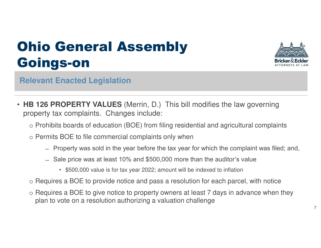

- **HB 126 PROPERTY VALUES** (Merrin, D.) This bill modifies the law governing property tax complaints. Changes include:
	- o Prohibits boards of education (BOE) from filing residential and agricultural complaints
	- o Permits BOE to file commercial complaints only when
		- ̶ Property was sold in the year before the tax year for which the complaint was filed; and,
		- ̶ Sale price was at least 10% and \$500,000 more than the auditor's value
			- \$500,000 value is for tax year 2022; amount will be indexed to inflation
	- o Requires a BOE to provide notice and pass a resolution for each parcel, with notice
	- o Requires a BOE to give notice to property owners at least 7 days in advance when they plan to vote on a resolution authorizing a valuation challenge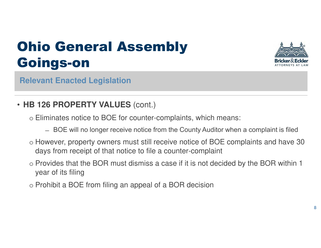

**Relevant Enacted Legislation**

#### • **HB 126 PROPERTY VALUES** (cont.)

- o Eliminates notice to BOE for counter-complaints, which means:
	- ̶ BOE will no longer receive notice from the County Auditor when a complaint is filed
- o However, property owners must still receive notice of BOE complaints and have 30 days from receipt of that notice to file a counter-complaint
- o Provides that the BOR must dismiss a case if it is not decided by the BOR within 1 year of its filing
- o Prohibit a BOE from filing an appeal of a BOR decision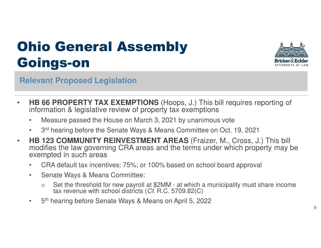

**Relevant Proposed Legislation**

- **HB 66 PROPERTY TAX EXEMPTIONS** (Hoops, J.) This bill requires reporting of information & legislative review of property tax exemptions
	- Measure passed the House on March 3, 2021 by unanimous vote
	- 3rd hearing before the Senate Ways & Means Committee on Oct. 19, 2021
- **HB 123 COMMUNITY REINVESTMENT AREAS** (Fraizer, M., Cross, J.) This bill modifies the law governing CRA areas and the terms under which property may be exempted in such areas
	- CRA default tax incentives: 75%; or 100% based on school board approval
	- Senate Ways & Means Committee:
		- o Set the threshold for new payroll at \$2MM at which a municipality must share income tax revenue with school districts (Cf. R.C. 5709.82(C)
	- 5<sup>th</sup> hearing before Senate Ways & Means on April 5, 2022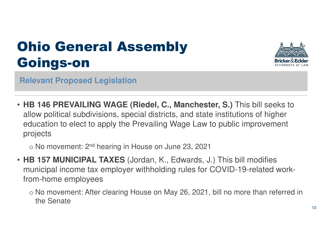

**Relevant Proposed Legislation**

• **HB 146 PREVAILING WAGE (Riedel, C., Manchester, S.)** This bill seeks to allow political subdivisions, special districts, and state institutions of higher education to elect to apply the Prevailing Wage Law to public improvement projects

 $\circ$  No movement: 2<sup>nd</sup> hearing in House on June 23, 2021

- **HB 157 MUNICIPAL TAXES** (Jordan, K., Edwards, J.) This bill modifies municipal income tax employer withholding rules for COVID-19-related workfrom-home employees
	- o No movement: After clearing House on May 26, 2021, bill no more than referred in the Senate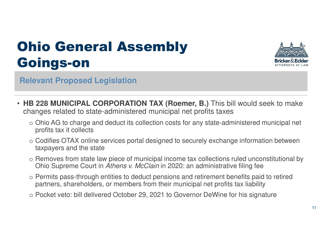

**Relevant Proposed Legislation**

- **HB 228 MUNICIPAL CORPORATION TAX (Roemer, B.)** This bill would seek to make changes related to state-administered municipal net profits taxes
	- o Ohio AG to charge and deduct its collection costs for any state-administered municipal net profits tax it collects
	- o Codifies OTAX online services portal designed to securely exchange information between taxpayers and the state
	- o Removes from state law piece of municipal income tax collections ruled unconstitutional by Ohio Supreme Court in Athens v. McClain in 2020: an administrative filing fee
	- o Permits pass-through entities to deduct pensions and retirement benefits paid to retired partners, shareholders, or members from their municipal net profits tax liability
	- o Pocket veto: bill delivered October 29, 2021 to Governor DeWine for his signature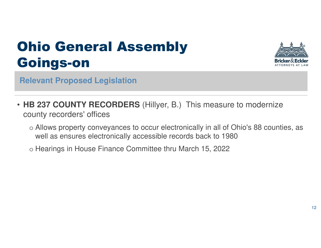

**Relevant Proposed Legislation**

- **HB 237 COUNTY RECORDERS** (Hillyer, B.) This measure to modernize county recorders' offices
	- o Allows property conveyances to occur electronically in all of Ohio's 88 counties, as well as ensures electronically accessible records back to 1980
	- o Hearings in House Finance Committee thru March 15, 2022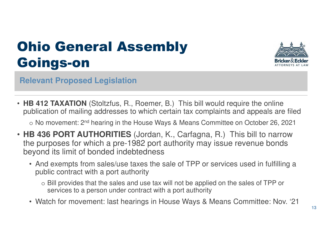

**Relevant Proposed Legislation**

• **HB 412 TAXATION** (Stoltzfus, R., Roemer, B.) This bill would require the online publication of mailing addresses to which certain tax complaints and appeals are filed

o No movement: 2nd hearing in the House Ways & Means Committee on October 26, 2021

- **HB 436 PORT AUTHORITIES** (Jordan, K., Carfagna, R.) This bill to narrow the purposes for which a pre-1982 port authority may issue revenue bonds beyond its limit of bonded indebtedness
	- And exempts from sales/use taxes the sale of TPP or services used in fulfilling a public contract with a port authority
		- o Bill provides that the sales and use tax will not be applied on the sales of TPP or services to a person under contract with a port authority
	- Watch for movement: last hearings in House Ways & Means Committee: Nov. '21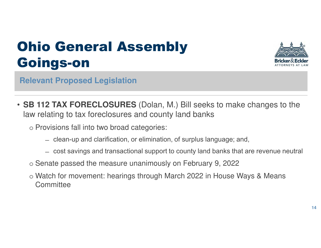

**Relevant Proposed Legislation**

- **SB 112 TAX FORECLOSURES** (Dolan, M.) Bill seeks to make changes to the law relating to tax foreclosures and county land banks
	- o Provisions fall into two broad categories:
		- ̶ clean-up and clarification, or elimination, of surplus language; and,
		- ̶ cost savings and transactional support to county land banks that are revenue neutral
	- o Senate passed the measure unanimously on February 9, 2022
	- o Watch for movement: hearings through March 2022 in House Ways & Means **Committee**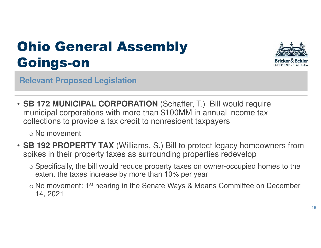

**Relevant Proposed Legislation**

• **SB 172 MUNICIPAL CORPORATION** (Schaffer, T.) Bill would require municipal corporations with more than \$100MM in annual income tax collections to provide a tax credit to nonresident taxpayers

o No movement

- **SB 192 PROPERTY TAX** (Williams, S.) Bill to protect legacy homeowners from spikes in their property taxes as surrounding properties redevelop
	- o Specifically, the bill would reduce property taxes on owner-occupied homes to the extent the taxes increase by more than 10% per year
	- o No movement: 1st hearing in the Senate Ways & Means Committee on December 14, 2021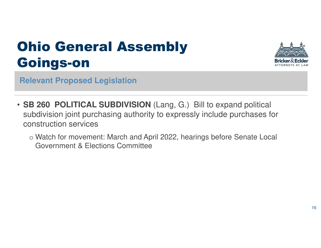

**Relevant Proposed Legislation**

- **SB 260 POLITICAL SUBDIVISION** (Lang, G.) Bill to expand political subdivision joint purchasing authority to expressly include purchases for construction services
	- o Watch for movement: March and April 2022, hearings before Senate Local Government & Elections Committee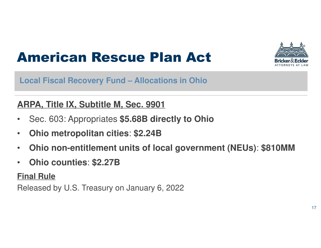

#### American Rescue Plan Act

**Local Fiscal Recovery Fund – Allocations in Ohio**

#### **ARPA, Title IX, Subtitle M, Sec. 9901**

- Sec. 603: Appropriates **\$5.68B directly to Ohio**
- **Ohio metropolitan cities**: **\$2.24B**
- **Ohio non-entitlement units of local government (NEUs)**: **\$810MM**
- **Ohio counties**: **\$2.27B**

#### **Final Rule**

Released by U.S. Treasury on January 6, 2022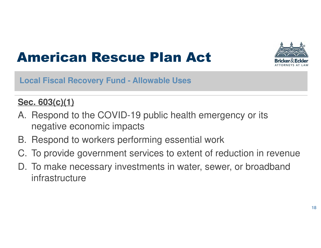

#### American Rescue Plan Act

**Local Fiscal Recovery Fund - Allowable Uses**

#### **Sec. 603(c)(1)**

- A. Respond to the COVID-19 public health emergency or its negative economic impacts
- B. Respond to workers performing essential work
- C. To provide government services to extent of reduction in revenue
- D. To make necessary investments in water, sewer, or broadband infrastructure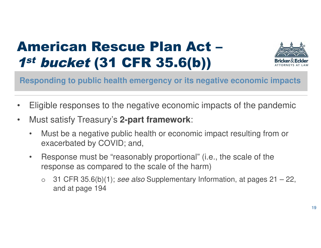#### American Rescue Plan Act – 1st bucket (31 CFR 35.6(b))



**Responding to public health emergency or its negative economic impacts**

- Eligible responses to the negative economic impacts of the pandemic
- Must satisfy Treasury's **2-part framework**:
	- Must be a negative public health or economic impact resulting from or exacerbated by COVID; and,
	- Response must be "reasonably proportional" (i.e., the scale of the response as compared to the scale of the harm)
		- o 31 CFR 35.6(b)(1); see also Supplementary Information, at pages  $21 22$ , and at page 194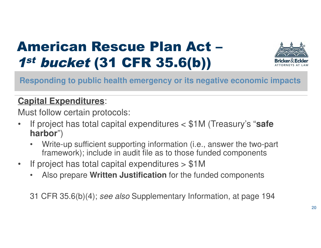#### American Rescue Plan Act – 1st bucket (31 CFR 35.6(b))



#### **Responding to public health emergency or its negative economic impacts**

#### **Capital Expenditures**:

Must follow certain protocols:

- If project has total capital expenditures < \$1M (Treasury's "**safe harbor**")
	- Write-up sufficient supporting information (i.e., answer the two-part framework); include in audit file as to those funded components
- If project has total capital expenditures > \$1M
	- Also prepare **Written Justification** for the funded components

31 CFR 35.6(b)(4); see also Supplementary Information, at page 194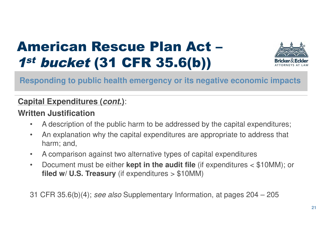#### American Rescue Plan Act – 1st bucket (31 CFR 35.6(b))



#### **Responding to public health emergency or its negative economic impacts**

#### **Capital Expenditures (cont.)**:

#### **Written Justification**

- A description of the public harm to be addressed by the capital expenditures;
- An explanation why the capital expenditures are appropriate to address that harm; and,
- A comparison against two alternative types of capital expenditures
- Document must be either **kept in the audit file** (if expenditures < \$10MM); or **filed w/ U.S. Treasury** (if expenditures > \$10MM)

31 CFR 35.6(b)(4); see also Supplementary Information, at pages 204 – 205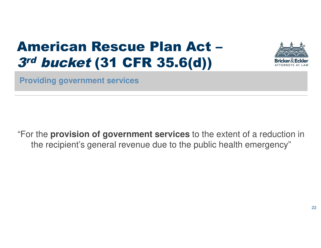#### American Rescue Plan Act – 3rd bucket (31 CFR 35.6(d))



**Providing government services** 

"For the **provision of government services** to the extent of a reduction in the recipient's general revenue due to the public health emergency"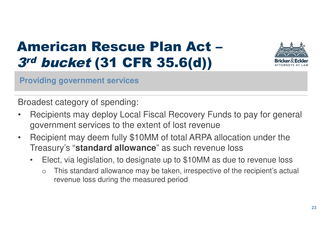### American Rescue Plan Act – 3rd bucket (31 CFR 35.6(d))



**Providing government services** 

Broadest category of spending:

- Recipients may deploy Local Fiscal Recovery Funds to pay for general government services to the extent of lost revenue
- Recipient may deem fully \$10MM of total ARPA allocation under the Treasury's "**standard allowance**" as such revenue loss
	- Elect, via legislation, to designate up to \$10MM as due to revenue loss
		- This standard allowance may be taken, irrespective of the recipient's actual revenue loss during the measured period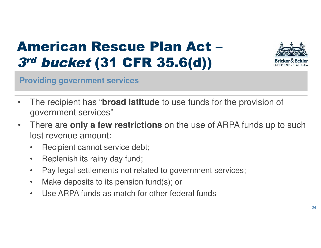#### American Rescue Plan Act – 3rd bucket (31 CFR 35.6(d))



**Providing government services** 

- The recipient has "**broad latitude** to use funds for the provision of government services"
- There are **only a few restrictions** on the use of ARPA funds up to such lost revenue amount:
	- Recipient cannot service debt;
	- Replenish its rainy day fund;
	- Pay legal settlements not related to government services;
	- Make deposits to its pension fund(s); or
	- Use ARPA funds as match for other federal funds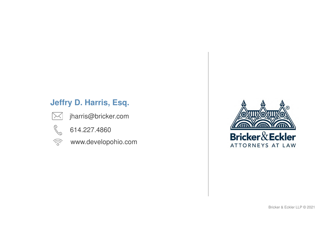#### **Jeffry D. Harris, Esq.**



jharris@bricker.com



614.227.4860

 $\widehat{\mathcal{C}}$  www.developohio.com



Bricker & Eckler LLP © 2021